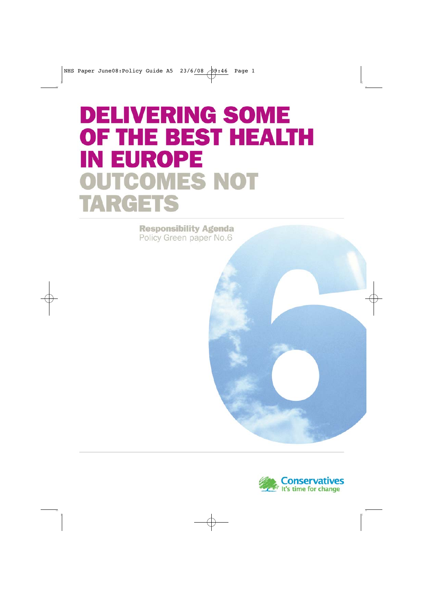# **DELIVERING SOME OF THE BEST HEALTH N EUROPE TCOMES NOT TARGETS**



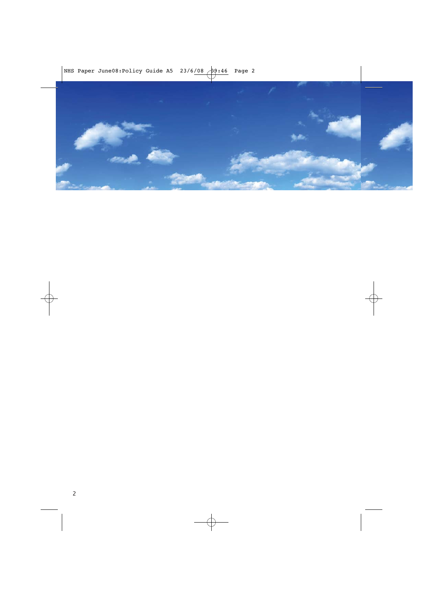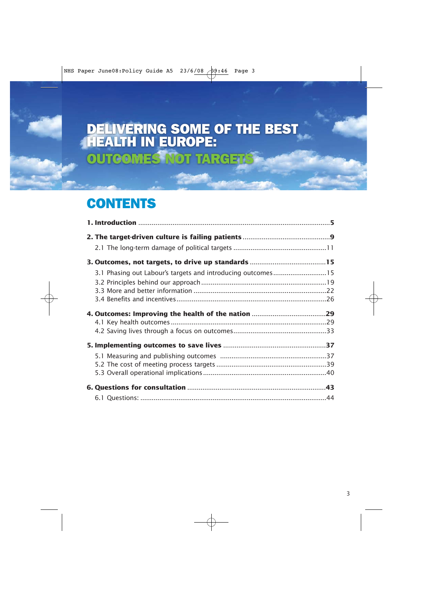# DELIVERING SOME OF THE BEST HEALTH IN EUROPE:

**OUTCOMES NOT TARGET** 

# **CONTENTS**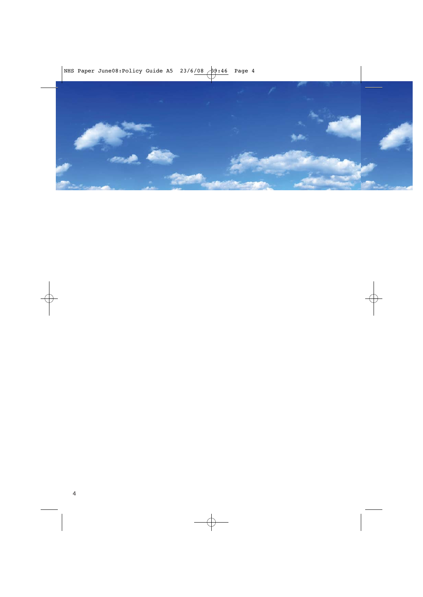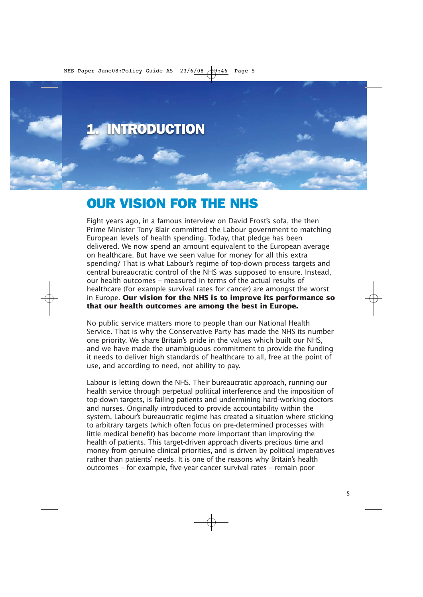

# OUR VISION FOR THE NHS

Eight years ago, in a famous interview on David Frost's sofa, the then Prime Minister Tony Blair committed the Labour government to matching European levels of health spending. Today, that pledge has been delivered. We now spend an amount equivalent to the European average on healthcare. But have we seen value for money for all this extra spending? That is what Labour's regime of top-down process targets and central bureaucratic control of the NHS was supposed to ensure. Instead, our health outcomes – measured in terms of the actual results of healthcare (for example survival rates for cancer) are amongst the worst in Europe. **Our vision for the NHS is to improve its performance so that our health outcomes are among the best in Europe.** 

No public service matters more to people than our National Health Service. That is why the Conservative Party has made the NHS its number one priority. We share Britain's pride in the values which built our NHS, and we have made the unambiguous commitment to provide the funding it needs to deliver high standards of healthcare to all, free at the point of use, and according to need, not ability to pay.

Labour is letting down the NHS. Their bureaucratic approach, running our health service through perpetual political interference and the imposition of top-down targets, is failing patients and undermining hard-working doctors and nurses. Originally introduced to provide accountability within the system, Labour's bureaucratic regime has created a situation where sticking to arbitrary targets (which often focus on pre-determined processes with little medical benefit) has become more important than improving the health of patients. This target-driven approach diverts precious time and money from genuine clinical priorities, and is driven by political imperatives rather than patients' needs. It is one of the reasons why Britain's health outcomes – for example, five-year cancer survival rates – remain poor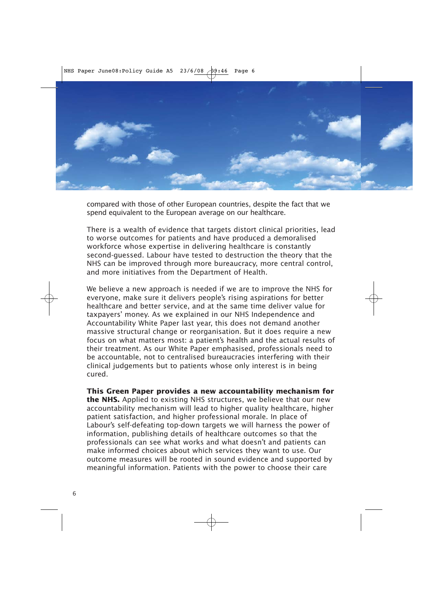

compared with those of other European countries, despite the fact that we spend equivalent to the European average on our healthcare.

There is a wealth of evidence that targets distort clinical priorities, lead to worse outcomes for patients and have produced a demoralised workforce whose expertise in delivering healthcare is constantly second-guessed. Labour have tested to destruction the theory that the NHS can be improved through more bureaucracy, more central control, and more initiatives from the Department of Health.

We believe a new approach is needed if we are to improve the NHS for everyone, make sure it delivers people's rising aspirations for better healthcare and better service, and at the same time deliver value for taxpayers' money. As we explained in our NHS Independence and Accountability White Paper last year, this does not demand another massive structural change or reorganisation. But it does require a new focus on what matters most: a patient's health and the actual results of their treatment. As our White Paper emphasised, professionals need to be accountable, not to centralised bureaucracies interfering with their clinical judgements but to patients whose only interest is in being cured.

**This Green Paper provides a new accountability mechanism for the NHS.** Applied to existing NHS structures, we believe that our new accountability mechanism will lead to higher quality healthcare, higher patient satisfaction, and higher professional morale. In place of Labour's self-defeating top-down targets we will harness the power of information, publishing details of healthcare outcomes so that the professionals can see what works and what doesn't and patients can make informed choices about which services they want to use. Our outcome measures will be rooted in sound evidence and supported by meaningful information. Patients with the power to choose their care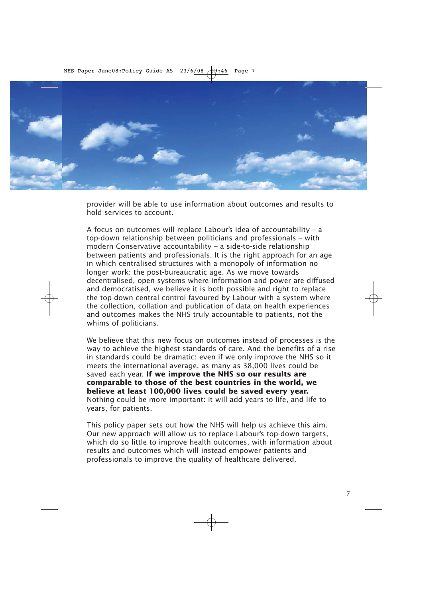

provider will be able to use information about outcomes and results to hold services to account.

A focus on outcomes will replace Labour's idea of accountability – a top-down relationship between politicians and professionals – with modern Conservative accountability – a side-to-side relationship between patients and professionals. It is the right approach for an age in which centralised structures with a monopoly of information no longer work: the post-bureaucratic age. As we move towards decentralised, open systems where information and power are diffused and democratised, we believe it is both possible and right to replace the top-down central control favoured by Labour with a system where the collection, collation and publication of data on health experiences and outcomes makes the NHS truly accountable to patients, not the whims of politicians.

We believe that this new focus on outcomes instead of processes is the way to achieve the highest standards of care. And the benefits of a rise in standards could be dramatic: even if we only improve the NHS so it meets the international average, as many as 38,000 lives could be saved each year. **If we improve the NHS so our results are comparable to those of the best countries in the world, we believe at least 100,000 lives could be saved every year.** Nothing could be more important: it will add years to life, and life to years, for patients.

This policy paper sets out how the NHS will help us achieve this aim. Our new approach will allow us to replace Labour's top-down targets, which do so little to improve health outcomes, with information about results and outcomes which will instead empower patients and professionals to improve the quality of healthcare delivered.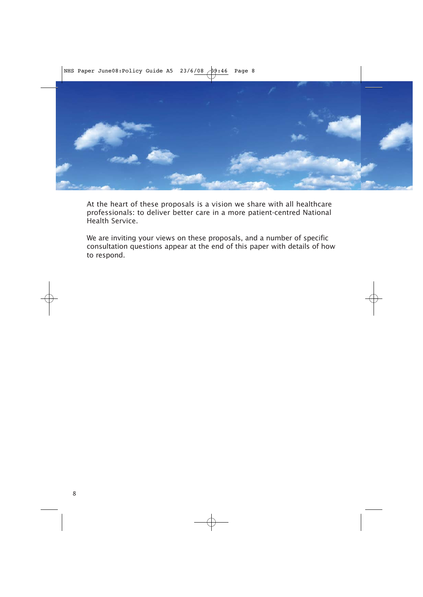8



At the heart of these proposals is a vision we share with all healthcare professionals: to deliver better care in a more patient-centred National Health Service.

We are inviting your views on these proposals, and a number of specific consultation questions appear at the end of this paper with details of how to respond.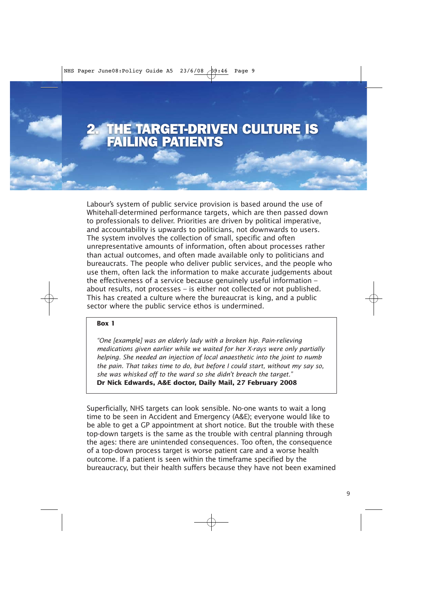# **TARGET-DRIVEN CULTURE IS G PATIENTS**

Labour's system of public service provision is based around the use of Whitehall-determined performance targets, which are then passed down to professionals to deliver. Priorities are driven by political imperative, and accountability is upwards to politicians, not downwards to users. The system involves the collection of small, specific and often unrepresentative amounts of information, often about processes rather than actual outcomes, and often made available only to politicians and bureaucrats. The people who deliver public services, and the people who use them, often lack the information to make accurate judgements about the effectiveness of a service because genuinely useful information – about results, not processes – is either not collected or not published. This has created a culture where the bureaucrat is king, and a public sector where the public service ethos is undermined.

#### **Box 1**

*"One [example] was an elderly lady with a broken hip. Pain-relieving medications given earlier while we waited for her X-rays were only partially helping. She needed an injection of local anaesthetic into the joint to numb the pain. That takes time to do, but before I could start, without my say so, she was whisked off to the ward so she didn't breach the target."*  **Dr Nick Edwards, A&E doctor, Daily Mail, 27 February 2008**

Superficially, NHS targets can look sensible. No-one wants to wait a long time to be seen in Accident and Emergency (A&E); everyone would like to be able to get a GP appointment at short notice. But the trouble with these top-down targets is the same as the trouble with central planning through the ages: there are unintended consequences. Too often, the consequence of a top-down process target is worse patient care and a worse health outcome. If a patient is seen within the timeframe specified by the bureaucracy, but their health suffers because they have not been examined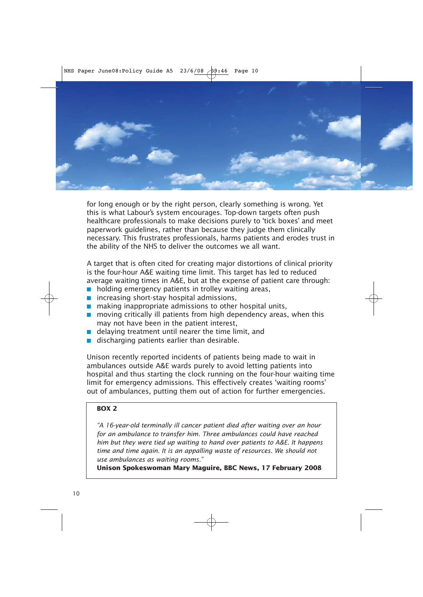

for long enough or by the right person, clearly something is wrong. Yet this is what Labour's system encourages. Top-down targets often push healthcare professionals to make decisions purely to 'tick boxes' and meet paperwork guidelines, rather than because they judge them clinically necessary. This frustrates professionals, harms patients and erodes trust in the ability of the NHS to deliver the outcomes we all want.

A target that is often cited for creating major distortions of clinical priority is the four-hour A&E waiting time limit. This target has led to reduced average waiting times in A&E, but at the expense of patient care through:

- holding emergency patients in trolley waiting areas,
- increasing short-stay hospital admissions,
- making inappropriate admissions to other hospital units,
- moving critically ill patients from high dependency areas, when this may not have been in the patient interest,
- $\blacksquare$  delaying treatment until nearer the time limit, and
- discharging patients earlier than desirable.

Unison recently reported incidents of patients being made to wait in ambulances outside A&E wards purely to avoid letting patients into hospital and thus starting the clock running on the four-hour waiting time limit for emergency admissions. This effectively creates 'waiting rooms' out of ambulances, putting them out of action for further emergencies.

# **BOX 2**

*"A 16-year-old terminally ill cancer patient died after waiting over an hour for an ambulance to transfer him. Three ambulances could have reached him but they were tied up waiting to hand over patients to A&E. It happens time and time again. It is an appalling waste of resources. We should not use ambulances as waiting rooms."* 

**Unison Spokeswoman Mary Maguire, BBC News, 17 February 2008**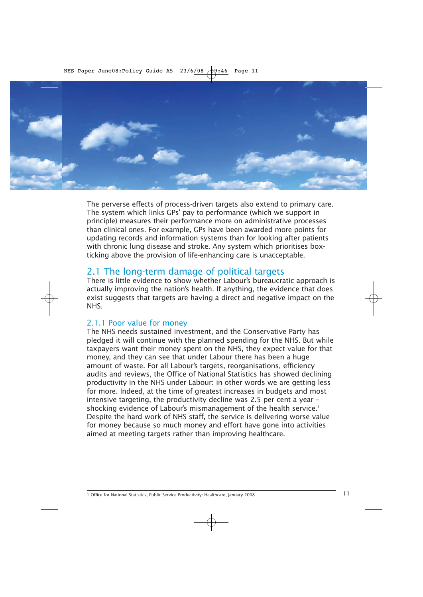

The perverse effects of process-driven targets also extend to primary care. The system which links GPs' pay to performance (which we support in principle) measures their performance more on administrative processes than clinical ones. For example, GPs have been awarded more points for updating records and information systems than for looking after patients with chronic lung disease and stroke. Any system which prioritises boxticking above the provision of life-enhancing care is unacceptable.

# 2.1 The long-term damage of political targets

There is little evidence to show whether Labour's bureaucratic approach is actually improving the nation's health. If anything, the evidence that does exist suggests that targets are having a direct and negative impact on the NHS.

## 2.1.1 Poor value for money

The NHS needs sustained investment, and the Conservative Party has pledged it will continue with the planned spending for the NHS. But while taxpayers want their money spent on the NHS, they expect value for that money, and they can see that under Labour there has been a huge amount of waste. For all Labour's targets, reorganisations, efficiency audits and reviews, the Office of National Statistics has showed declining productivity in the NHS under Labour: in other words we are getting less for more. Indeed, at the time of greatest increases in budgets and most intensive targeting, the productivity decline was 2.5 per cent a year – shocking evidence of Labour's mismanagement of the health service.<sup>1</sup> Despite the hard work of NHS staff, the service is delivering worse value for money because so much money and effort have gone into activities aimed at meeting targets rather than improving healthcare.

1 Office for National Statistics, Public Service Productivity: Healthcare, January 2008 11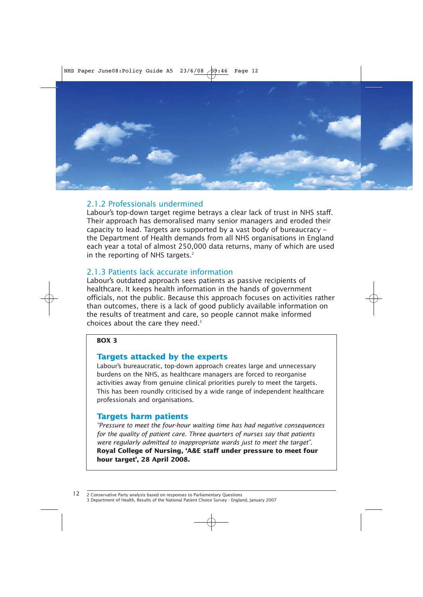

# 2.1.2 Professionals undermined

Labour's top-down target regime betrays a clear lack of trust in NHS staff. Their approach has demoralised many senior managers and eroded their capacity to lead. Targets are supported by a vast body of bureaucracy – the Department of Health demands from all NHS organisations in England each year a total of almost 250,000 data returns, many of which are used in the reporting of NHS targets.<sup>2</sup>

# 2.1.3 Patients lack accurate information

Labour's outdated approach sees patients as passive recipients of healthcare. It keeps health information in the hands of government officials, not the public. Because this approach focuses on activities rather than outcomes, there is a lack of good publicly available information on the results of treatment and care, so people cannot make informed choices about the care they need.3

### **BOX 3**

#### **Targets attacked by the experts**

Labour's bureaucratic, top-down approach creates large and unnecessary burdens on the NHS, as healthcare managers are forced to reorganise activities away from genuine clinical priorities purely to meet the targets. This has been roundly criticised by a wide range of independent healthcare professionals and organisations.

#### **Targets harm patients**

*"Pressure to meet the four-hour waiting time has had negative consequences for the quality of patient care. Three quarters of nurses say that patients were regularly admitted to inappropriate wards just to meet the target".*  **Royal College of Nursing, 'A&E staff under pressure to meet four hour target', 28 April 2008.**

12 2 Conservative Party analysis based on responses to Parliamentary Questions 3 Department of Health, Results of the National Patient Choice Survey - England, January 2007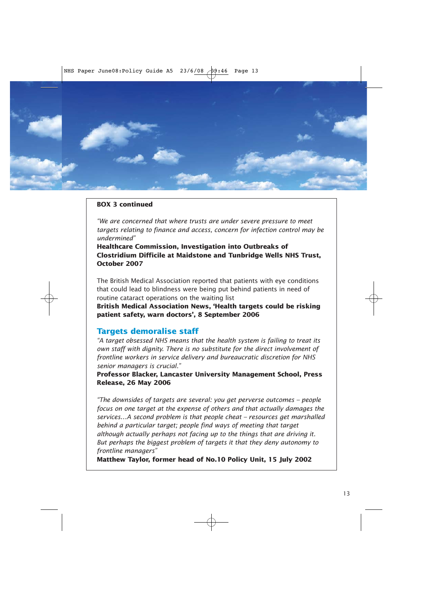NHS Paper June08: Policy Guide A5  $23/6/08$   $\overline{p}$ 9:46 Page 13

![](_page_12_Picture_1.jpeg)

#### **BOX 3 continued**

*"We are concerned that where trusts are under severe pressure to meet targets relating to finance and access, concern for infection control may be undermined"* 

**Healthcare Commission, Investigation into Outbreaks of Clostridium Difficile at Maidstone and Tunbridge Wells NHS Trust, October 2007**

The British Medical Association reported that patients with eye conditions that could lead to blindness were being put behind patients in need of routine cataract operations on the waiting list

**British Medical Association News, 'Health targets could be risking patient safety, warn doctors', 8 September 2006**

### **Targets demoralise staff**

*"A target obsessed NHS means that the health system is failing to treat its own staff with dignity. There is no substitute for the direct involvement of frontline workers in service delivery and bureaucratic discretion for NHS senior managers is crucial."* 

**Professor Blacker, Lancaster University Management School, Press Release, 26 May 2006**

*"The downsides of targets are several: you get perverse outcomes – people focus on one target at the expense of others and that actually damages the services…A second problem is that people cheat – resources get marshalled behind a particular target; people find ways of meeting that target although actually perhaps not facing up to the things that are driving it. But perhaps the biggest problem of targets it that they deny autonomy to frontline managers"* 

**Matthew Taylor, former head of No.10 Policy Unit, 15 July 2002**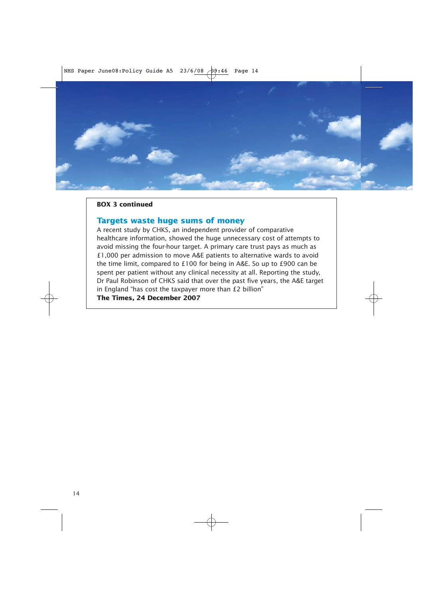![](_page_13_Picture_1.jpeg)

## **BOX 3 continued**

# **Targets waste huge sums of money**

A recent study by CHKS, an independent provider of comparative healthcare information, showed the huge unnecessary cost of attempts to avoid missing the four-hour target. A primary care trust pays as much as £1,000 per admission to move A&E patients to alternative wards to avoid the time limit, compared to £100 for being in A&E. So up to £900 can be spent per patient without any clinical necessity at all. Reporting the study, Dr Paul Robinson of CHKS said that over the past five years, the A&E target in England "has cost the taxpayer more than £2 billion"

**The Times, 24 December 2007**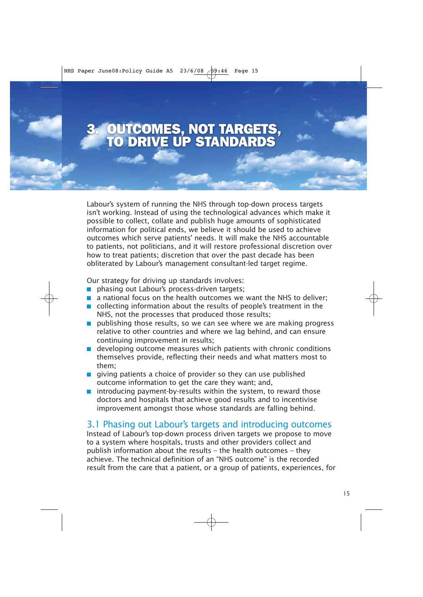# 3. OUTCOMES, NOT TARGETS, TO DRIVE UP STANDARDS

Labour's system of running the NHS through top-down process targets isn't working. Instead of using the technological advances which make it possible to collect, collate and publish huge amounts of sophisticated information for political ends, we believe it should be used to achieve outcomes which serve patients' needs. It will make the NHS accountable to patients, not politicians, and it will restore professional discretion over how to treat patients; discretion that over the past decade has been obliterated by Labour's management consultant-led target regime.

Our strategy for driving up standards involves:

- phasing out Labour's process-driven targets;
- a national focus on the health outcomes we want the NHS to deliver;
- collecting information about the results of people's treatment in the NHS, not the processes that produced those results;
- publishing those results, so we can see where we are making progress relative to other countries and where we lag behind, and can ensure continuing improvement in results;
- developing outcome measures which patients with chronic conditions themselves provide, reflecting their needs and what matters most to them;
- giving patients a choice of provider so they can use published outcome information to get the care they want; and,
- introducing payment-by-results within the system, to reward those doctors and hospitals that achieve good results and to incentivise improvement amongst those whose standards are falling behind.

# 3.1 Phasing out Labour's targets and introducing outcomes

Instead of Labour's top-down process driven targets we propose to move to a system where hospitals, trusts and other providers collect and publish information about the results – the health outcomes – they achieve. The technical definition of an "NHS outcome" is the recorded result from the care that a patient, or a group of patients, experiences, for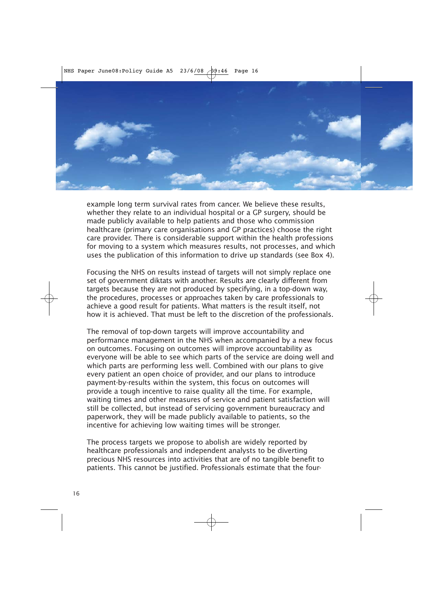![](_page_15_Picture_1.jpeg)

example long term survival rates from cancer. We believe these results, whether they relate to an individual hospital or a GP surgery, should be made publicly available to help patients and those who commission healthcare (primary care organisations and GP practices) choose the right care provider. There is considerable support within the health professions for moving to a system which measures results, not processes, and which uses the publication of this information to drive up standards (see Box 4).

Focusing the NHS on results instead of targets will not simply replace one set of government diktats with another. Results are clearly different from targets because they are not produced by specifying, in a top-down way, the procedures, processes or approaches taken by care professionals to achieve a good result for patients. What matters is the result itself, not how it is achieved. That must be left to the discretion of the professionals.

The removal of top-down targets will improve accountability and performance management in the NHS when accompanied by a new focus on outcomes. Focusing on outcomes will improve accountability as everyone will be able to see which parts of the service are doing well and which parts are performing less well. Combined with our plans to give every patient an open choice of provider, and our plans to introduce payment-by-results within the system, this focus on outcomes will provide a tough incentive to raise quality all the time. For example, waiting times and other measures of service and patient satisfaction will still be collected, but instead of servicing government bureaucracy and paperwork, they will be made publicly available to patients, so the incentive for achieving low waiting times will be stronger.

The process targets we propose to abolish are widely reported by healthcare professionals and independent analysts to be diverting precious NHS resources into activities that are of no tangible benefit to patients. This cannot be justified. Professionals estimate that the four-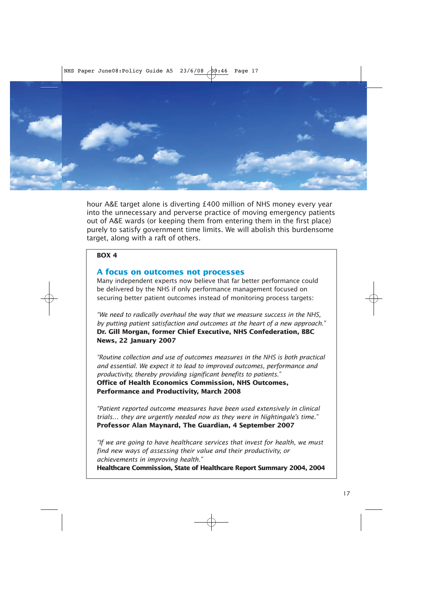![](_page_16_Picture_1.jpeg)

hour A&E target alone is diverting £400 million of NHS money every year into the unnecessary and perverse practice of moving emergency patients out of A&E wards (or keeping them from entering them in the first place) purely to satisfy government time limits. We will abolish this burdensome target, along with a raft of others.

#### **BOX 4**

#### **A focus on outcomes not processes**

Many independent experts now believe that far better performance could be delivered by the NHS if only performance management focused on securing better patient outcomes instead of monitoring process targets:

*"We need to radically overhaul the way that we measure success in the NHS, by putting patient satisfaction and outcomes at the heart of a new approach."*  **Dr. Gill Morgan, former Chief Executive, NHS Confederation, BBC News, 22 January 2007**

*"Routine collection and use of outcomes measures in the NHS is both practical and essential. We expect it to lead to improved outcomes, performance and productivity, thereby providing significant benefits to patients."*  **Office of Health Economics Commission, NHS Outcomes, Performance and Productivity, March 2008**

*"Patient reported outcome measures have been used extensively in clinical trials… they are urgently needed now as they were in Nightingale's time."*  **Professor Alan Maynard, The Guardian, 4 September 2007**

*"If we are going to have healthcare services that invest for health, we must find new ways of assessing their value and their productivity, or achievements in improving health."* 

**Healthcare Commission, State of Healthcare Report Summary 2004, 2004**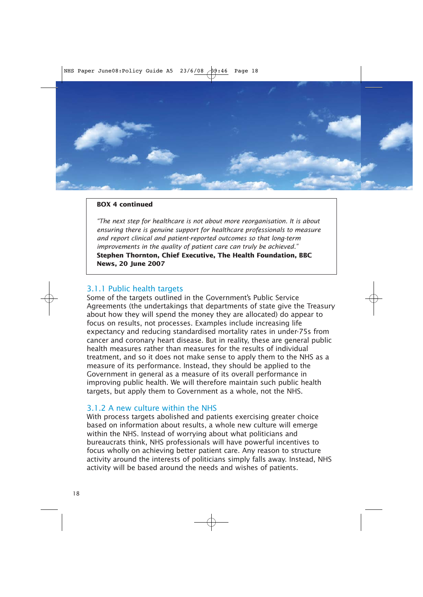![](_page_17_Picture_1.jpeg)

#### **BOX 4 continued**

*"The next step for healthcare is not about more reorganisation. It is about ensuring there is genuine support for healthcare professionals to measure and report clinical and patient-reported outcomes so that long-term improvements in the quality of patient care can truly be achieved."*  **Stephen Thornton, Chief Executive, The Health Foundation, BBC News, 20 June 2007**

#### 3.1.1 Public health targets

Some of the targets outlined in the Government's Public Service Agreements (the undertakings that departments of state give the Treasury about how they will spend the money they are allocated) do appear to focus on results, not processes. Examples include increasing life expectancy and reducing standardised mortality rates in under-75s from cancer and coronary heart disease. But in reality, these are general public health measures rather than measures for the results of individual treatment, and so it does not make sense to apply them to the NHS as a measure of its performance. Instead, they should be applied to the Government in general as a measure of its overall performance in improving public health. We will therefore maintain such public health targets, but apply them to Government as a whole, not the NHS.

#### 3.1.2 A new culture within the NHS

With process targets abolished and patients exercising greater choice based on information about results, a whole new culture will emerge within the NHS. Instead of worrying about what politicians and bureaucrats think, NHS professionals will have powerful incentives to focus wholly on achieving better patient care. Any reason to structure activity around the interests of politicians simply falls away. Instead, NHS activity will be based around the needs and wishes of patients.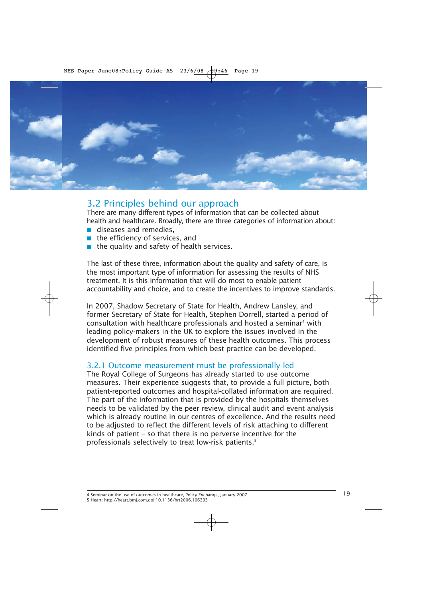![](_page_18_Picture_1.jpeg)

# 3.2 Principles behind our approach

There are many different types of information that can be collected about health and healthcare. Broadly, there are three categories of information about:

- diseases and remedies,
- the efficiency of services, and
- the quality and safety of health services.

The last of these three, information about the quality and safety of care, is the most important type of information for assessing the results of NHS treatment. It is this information that will do most to enable patient accountability and choice, and to create the incentives to improve standards.

In 2007, Shadow Secretary of State for Health, Andrew Lansley, and former Secretary of State for Health, Stephen Dorrell, started a period of consultation with healthcare professionals and hosted a seminar<sup>4</sup> with leading policy-makers in the UK to explore the issues involved in the development of robust measures of these health outcomes. This process identified five principles from which best practice can be developed.

#### 3.2.1 Outcome measurement must be professionally led

The Royal College of Surgeons has already started to use outcome measures. Their experience suggests that, to provide a full picture, both patient-reported outcomes and hospital-collated information are required. The part of the information that is provided by the hospitals themselves needs to be validated by the peer review, clinical audit and event analysis which is already routine in our centres of excellence. And the results need to be adjusted to reflect the different levels of risk attaching to different kinds of patient – so that there is no perverse incentive for the professionals selectively to treat low-risk patients.<sup>5</sup>

4 Seminar on the use of outcomes in healthcare, Policy Exchange, January 2007 19 5 Heart: http://heart.bmj.com,doi:10.1136/hrt2006.106393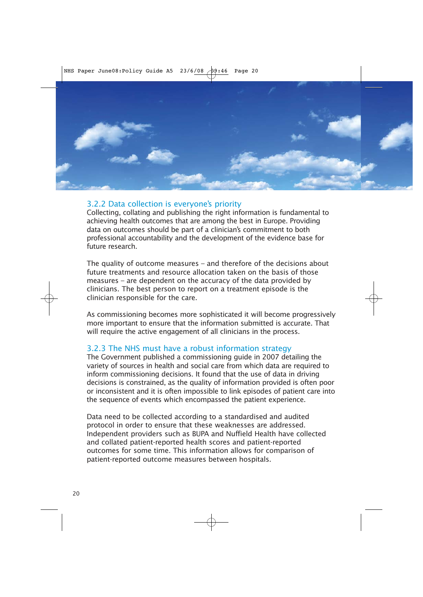![](_page_19_Picture_1.jpeg)

# 3.2.2 Data collection is everyone's priority

Collecting, collating and publishing the right information is fundamental to achieving health outcomes that are among the best in Europe. Providing data on outcomes should be part of a clinician's commitment to both professional accountability and the development of the evidence base for future research.

The quality of outcome measures – and therefore of the decisions about future treatments and resource allocation taken on the basis of those measures – are dependent on the accuracy of the data provided by clinicians. The best person to report on a treatment episode is the clinician responsible for the care.

As commissioning becomes more sophisticated it will become progressively more important to ensure that the information submitted is accurate. That will require the active engagement of all clinicians in the process.

#### 3.2.3 The NHS must have a robust information strategy

The Government published a commissioning guide in 2007 detailing the variety of sources in health and social care from which data are required to inform commissioning decisions. It found that the use of data in driving decisions is constrained, as the quality of information provided is often poor or inconsistent and it is often impossible to link episodes of patient care into the sequence of events which encompassed the patient experience.

Data need to be collected according to a standardised and audited protocol in order to ensure that these weaknesses are addressed. Independent providers such as BUPA and Nuffield Health have collected and collated patient-reported health scores and patient-reported outcomes for some time. This information allows for comparison of patient-reported outcome measures between hospitals.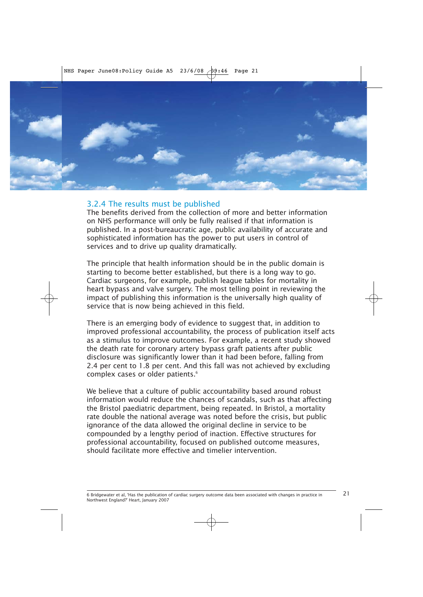![](_page_20_Picture_1.jpeg)

#### 3.2.4 The results must be published

The benefits derived from the collection of more and better information on NHS performance will only be fully realised if that information is published. In a post-bureaucratic age, public availability of accurate and sophisticated information has the power to put users in control of services and to drive up quality dramatically.

The principle that health information should be in the public domain is starting to become better established, but there is a long way to go. Cardiac surgeons, for example, publish league tables for mortality in heart bypass and valve surgery. The most telling point in reviewing the impact of publishing this information is the universally high quality of service that is now being achieved in this field.

There is an emerging body of evidence to suggest that, in addition to improved professional accountability, the process of publication itself acts as a stimulus to improve outcomes. For example, a recent study showed the death rate for coronary artery bypass graft patients after public disclosure was significantly lower than it had been before, falling from 2.4 per cent to 1.8 per cent. And this fall was not achieved by excluding complex cases or older patients.<sup>6</sup>

We believe that a culture of public accountability based around robust information would reduce the chances of scandals, such as that affecting the Bristol paediatric department, being repeated. In Bristol, a mortality rate double the national average was noted before the crisis, but public ignorance of the data allowed the original decline in service to be compounded by a lengthy period of inaction. Effective structures for professional accountability, focused on published outcome measures, should facilitate more effective and timelier intervention.

6 Bridgewater et al, 'Has the publication of cardiac surgery outcome data been associated with changes in practice in 21 Northwest England?' Heart, January 2007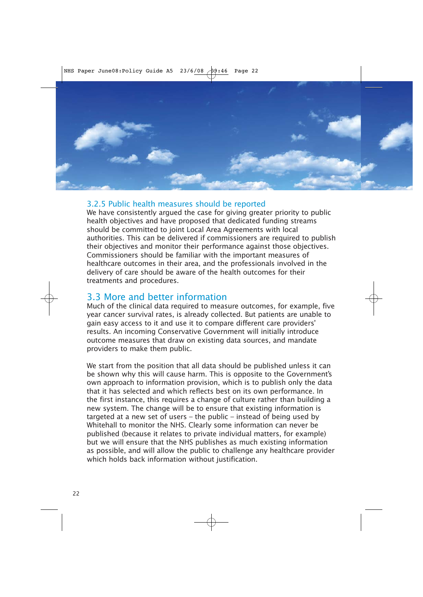![](_page_21_Picture_1.jpeg)

# 3.2.5 Public health measures should be reported

We have consistently argued the case for giving greater priority to public health objectives and have proposed that dedicated funding streams should be committed to joint Local Area Agreements with local authorities. This can be delivered if commissioners are required to publish their objectives and monitor their performance against those objectives. Commissioners should be familiar with the important measures of healthcare outcomes in their area, and the professionals involved in the delivery of care should be aware of the health outcomes for their treatments and procedures.

#### 3.3 More and better information

Much of the clinical data required to measure outcomes, for example, five year cancer survival rates, is already collected. But patients are unable to gain easy access to it and use it to compare different care providers' results. An incoming Conservative Government will initially introduce outcome measures that draw on existing data sources, and mandate providers to make them public.

We start from the position that all data should be published unless it can be shown why this will cause harm. This is opposite to the Government's own approach to information provision, which is to publish only the data that it has selected and which reflects best on its own performance. In the first instance, this requires a change of culture rather than building a new system. The change will be to ensure that existing information is targeted at a new set of users – the public – instead of being used by Whitehall to monitor the NHS. Clearly some information can never be published (because it relates to private individual matters, for example) but we will ensure that the NHS publishes as much existing information as possible, and will allow the public to challenge any healthcare provider which holds back information without justification.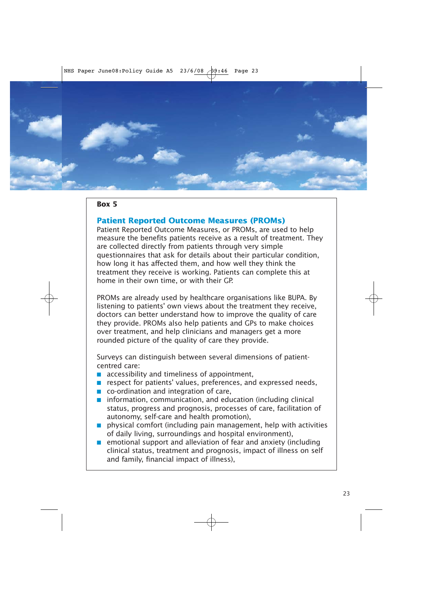![](_page_22_Picture_1.jpeg)

#### **Box 5**

#### **Patient Reported Outcome Measures (PROMs)**

Patient Reported Outcome Measures, or PROMs, are used to help measure the benefits patients receive as a result of treatment. They are collected directly from patients through very simple questionnaires that ask for details about their particular condition, how long it has affected them, and how well they think the treatment they receive is working. Patients can complete this at home in their own time, or with their GP.

PROMs are already used by healthcare organisations like BUPA. By listening to patients' own views about the treatment they receive, doctors can better understand how to improve the quality of care they provide. PROMs also help patients and GPs to make choices over treatment, and help clinicians and managers get a more rounded picture of the quality of care they provide.

Surveys can distinguish between several dimensions of patientcentred care:

- accessibility and timeliness of appointment,
- respect for patients' values, preferences, and expressed needs,
- co-ordination and integration of care,
- information, communication, and education (including clinical status, progress and prognosis, processes of care, facilitation of autonomy, self-care and health promotion),
- $\blacksquare$  physical comfort (including pain management, help with activities of daily living, surroundings and hospital environment),
- emotional support and alleviation of fear and anxiety (including clinical status, treatment and prognosis, impact of illness on self and family, financial impact of illness),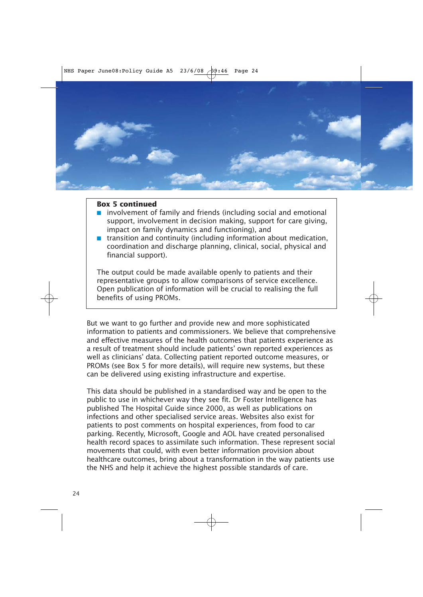![](_page_23_Picture_1.jpeg)

#### **Box 5 continued**

- involvement of family and friends (including social and emotional support, involvement in decision making, support for care giving, impact on family dynamics and functioning), and
- transition and continuity (including information about medication, coordination and discharge planning, clinical, social, physical and financial support).

The output could be made available openly to patients and their representative groups to allow comparisons of service excellence. Open publication of information will be crucial to realising the full benefits of using PROMs.

But we want to go further and provide new and more sophisticated information to patients and commissioners. We believe that comprehensive and effective measures of the health outcomes that patients experience as a result of treatment should include patients' own reported experiences as well as clinicians' data. Collecting patient reported outcome measures, or PROMs (see Box 5 for more details), will require new systems, but these can be delivered using existing infrastructure and expertise.

This data should be published in a standardised way and be open to the public to use in whichever way they see fit. Dr Foster Intelligence has published The Hospital Guide since 2000, as well as publications on infections and other specialised service areas. Websites also exist for patients to post comments on hospital experiences, from food to car parking. Recently, Microsoft, Google and AOL have created personalised health record spaces to assimilate such information. These represent social movements that could, with even better information provision about healthcare outcomes, bring about a transformation in the way patients use the NHS and help it achieve the highest possible standards of care.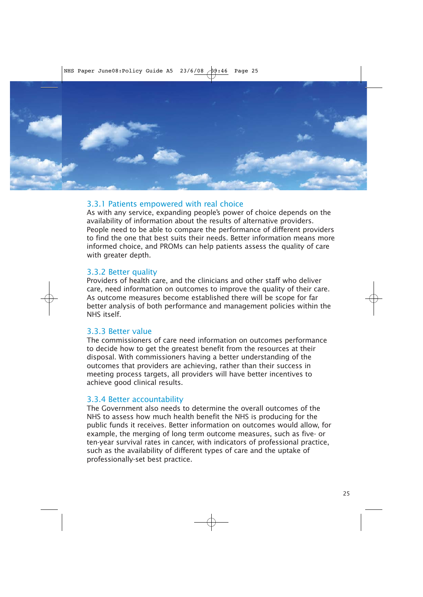![](_page_24_Picture_1.jpeg)

#### 3.3.1 Patients empowered with real choice

As with any service, expanding people's power of choice depends on the availability of information about the results of alternative providers. People need to be able to compare the performance of different providers to find the one that best suits their needs. Better information means more informed choice, and PROMs can help patients assess the quality of care with greater depth.

#### 3.3.2 Better quality

Providers of health care, and the clinicians and other staff who deliver care, need information on outcomes to improve the quality of their care. As outcome measures become established there will be scope for far better analysis of both performance and management policies within the NHS itself.

#### 3.3.3 Better value

The commissioners of care need information on outcomes performance to decide how to get the greatest benefit from the resources at their disposal. With commissioners having a better understanding of the outcomes that providers are achieving, rather than their success in meeting process targets, all providers will have better incentives to achieve good clinical results.

#### 3.3.4 Better accountability

The Government also needs to determine the overall outcomes of the NHS to assess how much health benefit the NHS is producing for the public funds it receives. Better information on outcomes would allow, for example, the merging of long term outcome measures, such as five- or ten-year survival rates in cancer, with indicators of professional practice, such as the availability of different types of care and the uptake of professionally-set best practice.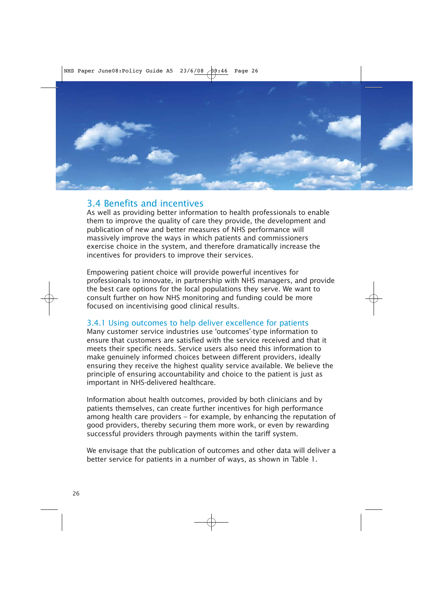![](_page_25_Picture_1.jpeg)

# 3.4 Benefits and incentives

As well as providing better information to health professionals to enable them to improve the quality of care they provide, the development and publication of new and better measures of NHS performance will massively improve the ways in which patients and commissioners exercise choice in the system, and therefore dramatically increase the incentives for providers to improve their services.

Empowering patient choice will provide powerful incentives for professionals to innovate, in partnership with NHS managers, and provide the best care options for the local populations they serve. We want to consult further on how NHS monitoring and funding could be more focused on incentivising good clinical results.

## 3.4.1 Using outcomes to help deliver excellence for patients

Many customer service industries use 'outcomes'-type information to ensure that customers are satisfied with the service received and that it meets their specific needs. Service users also need this information to make genuinely informed choices between different providers, ideally ensuring they receive the highest quality service available. We believe the principle of ensuring accountability and choice to the patient is just as important in NHS-delivered healthcare.

Information about health outcomes, provided by both clinicians and by patients themselves, can create further incentives for high performance among health care providers – for example, by enhancing the reputation of good providers, thereby securing them more work, or even by rewarding successful providers through payments within the tariff system.

We envisage that the publication of outcomes and other data will deliver a better service for patients in a number of ways, as shown in Table 1.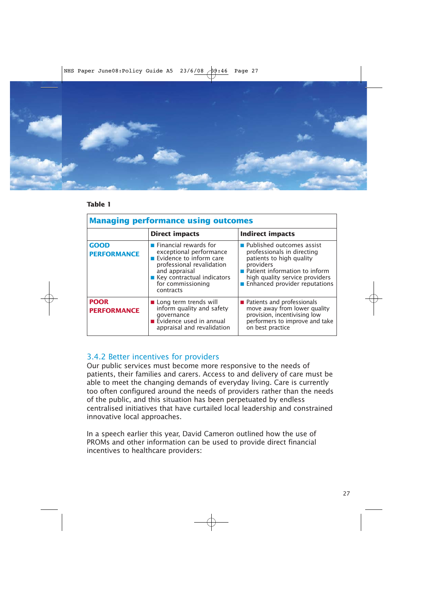![](_page_26_Picture_1.jpeg)

#### **Table 1**

| <b>Managing performance using outcomes</b> |                                                                                                                                                                                                    |                                                                                                                                                                                                                    |
|--------------------------------------------|----------------------------------------------------------------------------------------------------------------------------------------------------------------------------------------------------|--------------------------------------------------------------------------------------------------------------------------------------------------------------------------------------------------------------------|
|                                            | <b>Direct impacts</b>                                                                                                                                                                              | <b>Indirect impacts</b>                                                                                                                                                                                            |
| <b>GOOD</b><br><b>PERFORMANCE</b>          | <b>Financial rewards for</b><br>exceptional performance<br>Evidence to inform care<br>professional revalidation<br>and appraisal<br>■ Key contractual indicators<br>for commissioning<br>contracts | <b>Published outcomes assist</b><br>professionals in directing<br>patients to high quality<br>providers<br><b>Patient information to inform</b><br>high quality service providers<br>Enhanced provider reputations |
| <b>POOR</b><br><b>PERFORMANCE</b>          | Long term trends will<br>inform quality and safety<br>qovernance<br>$\blacksquare$ Evidence used in annual<br>appraisal and revalidation                                                           | Patients and professionals<br>move away from lower quality<br>provision, incentivising low<br>performers to improve and take<br>on best practice                                                                   |

# 3.4.2 Better incentives for providers

Our public services must become more responsive to the needs of patients, their families and carers. Access to and delivery of care must be able to meet the changing demands of everyday living. Care is currently too often configured around the needs of providers rather than the needs of the public, and this situation has been perpetuated by endless centralised initiatives that have curtailed local leadership and constrained innovative local approaches.

In a speech earlier this year, David Cameron outlined how the use of PROMs and other information can be used to provide direct financial incentives to healthcare providers: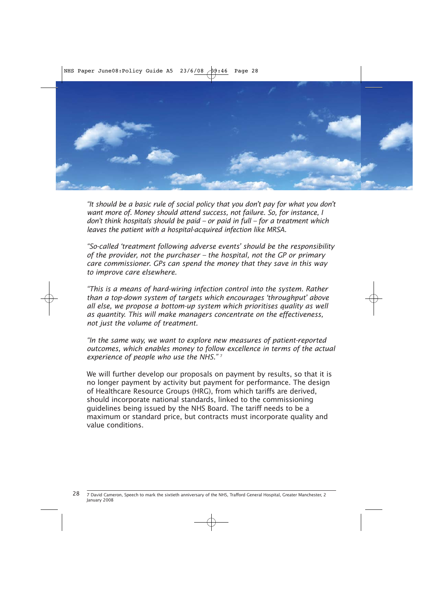![](_page_27_Picture_1.jpeg)

*"It should be a basic rule of social policy that you don't pay for what you don't want more of. Money should attend success, not failure. So, for instance, I don't think hospitals should be paid – or paid in full – for a treatment which leaves the patient with a hospital-acquired infection like MRSA.*

*"So-called 'treatment following adverse events' should be the responsibility of the provider, not the purchaser – the hospital, not the GP or primary care commissioner. GPs can spend the money that they save in this way to improve care elsewhere.*

*"This is a means of hard-wiring infection control into the system. Rather than a top-down system of targets which encourages 'throughput' above all else, we propose a bottom-up system which prioritises quality as well as quantity. This will make managers concentrate on the effectiveness, not just the volume of treatment.*

*"In the same way, we want to explore new measures of patient-reported outcomes, which enables money to follow excellence in terms of the actual experience of people who use the NHS."* <sup>7</sup>

We will further develop our proposals on payment by results, so that it is no longer payment by activity but payment for performance. The design of Healthcare Resource Groups (HRG), from which tariffs are derived, should incorporate national standards, linked to the commissioning guidelines being issued by the NHS Board. The tariff needs to be a maximum or standard price, but contracts must incorporate quality and value conditions.

28 7 David Cameron, Speech to mark the sixtieth anniversary of the NHS, Trafford General Hospital, Greater Manchester, 2 January 2008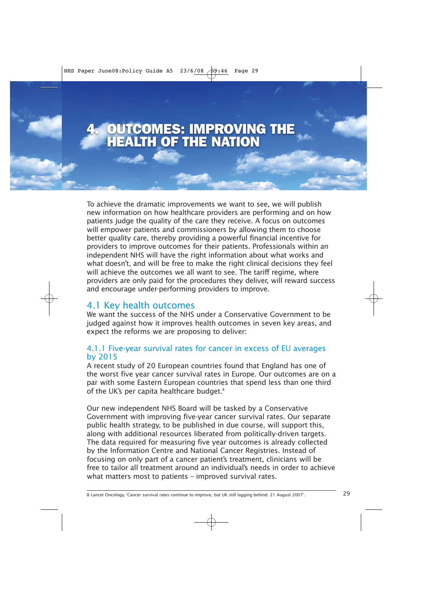# 4. OUTCOMES: IMPROVING THE HEALTH OF THE NATION

To achieve the dramatic improvements we want to see, we will publish new information on how healthcare providers are performing and on how patients judge the quality of the care they receive. A focus on outcomes will empower patients and commissioners by allowing them to choose better quality care, thereby providing a powerful financial incentive for providers to improve outcomes for their patients. Professionals within an independent NHS will have the right information about what works and what doesn't, and will be free to make the right clinical decisions they feel will achieve the outcomes we all want to see. The tariff regime, where providers are only paid for the procedures they deliver, will reward success and encourage under-performing providers to improve.

# 4.1 Key health outcomes

We want the success of the NHS under a Conservative Government to be judged against how it improves health outcomes in seven key areas, and expect the reforms we are proposing to deliver:

# 4.1.1 Five-year survival rates for cancer in excess of EU averages by 2015

A recent study of 20 European countries found that England has one of the worst five year cancer survival rates in Europe. Our outcomes are on a par with some Eastern European countries that spend less than one third of the UK's per capita healthcare budget.<sup>8</sup>

Our new independent NHS Board will be tasked by a Conservative Government with improving five-year cancer survival rates. Our separate public health strategy, to be published in due course, will support this, along with additional resources liberated from politically-driven targets. The data required for measuring five year outcomes is already collected by the Information Centre and National Cancer Registries. Instead of focusing on only part of a cancer patient's treatment, clinicians will be free to tailor all treatment around an individual's needs in order to achieve what matters most to patients – improved survival rates.

8 Lancet Oncology, 'Cancer survival rates continue to improve, but UK still lagging behind. 21 August 2007'. 29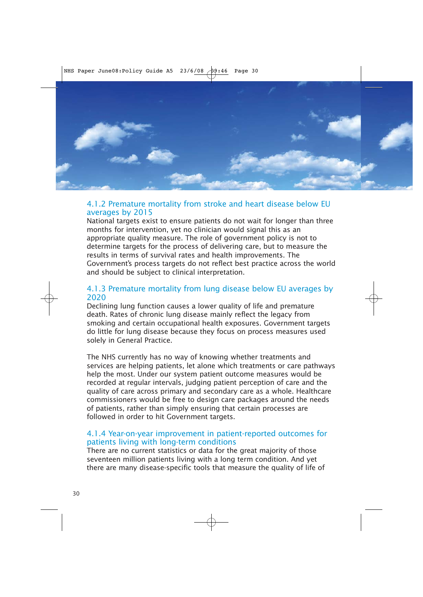![](_page_29_Picture_1.jpeg)

# 4.1.2 Premature mortality from stroke and heart disease below EU averages by 2015

National targets exist to ensure patients do not wait for longer than three months for intervention, yet no clinician would signal this as an appropriate quality measure. The role of government policy is not to determine targets for the process of delivering care, but to measure the results in terms of survival rates and health improvements. The Government's process targets do not reflect best practice across the world and should be subject to clinical interpretation.

# 4.1.3 Premature mortality from lung disease below EU averages by 2020

Declining lung function causes a lower quality of life and premature death. Rates of chronic lung disease mainly reflect the legacy from smoking and certain occupational health exposures. Government targets do little for lung disease because they focus on process measures used solely in General Practice.

The NHS currently has no way of knowing whether treatments and services are helping patients, let alone which treatments or care pathways help the most. Under our system patient outcome measures would be recorded at regular intervals, judging patient perception of care and the quality of care across primary and secondary care as a whole. Healthcare commissioners would be free to design care packages around the needs of patients, rather than simply ensuring that certain processes are followed in order to hit Government targets.

# 4.1.4 Year-on-year improvement in patient-reported outcomes for patients living with long-term conditions

There are no current statistics or data for the great majority of those seventeen million patients living with a long term condition. And yet there are many disease-specific tools that measure the quality of life of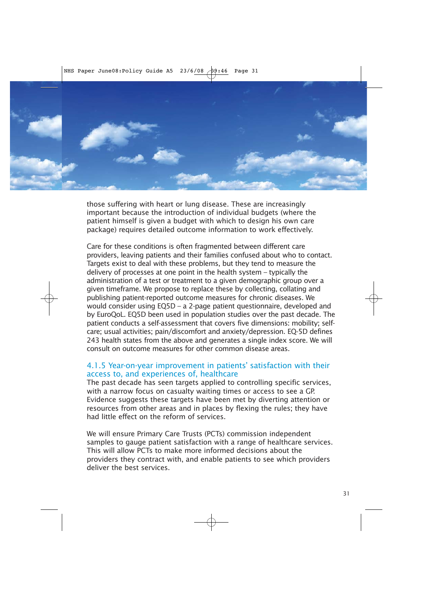![](_page_30_Picture_1.jpeg)

those suffering with heart or lung disease. These are increasingly important because the introduction of individual budgets (where the patient himself is given a budget with which to design his own care package) requires detailed outcome information to work effectively.

Care for these conditions is often fragmented between different care providers, leaving patients and their families confused about who to contact. Targets exist to deal with these problems, but they tend to measure the delivery of processes at one point in the health system – typically the administration of a test or treatment to a given demographic group over a given timeframe. We propose to replace these by collecting, collating and publishing patient-reported outcome measures for chronic diseases. We would consider using EQ5D – a 2-page patient questionnaire, developed and by EuroQoL. EQ5D been used in population studies over the past decade. The patient conducts a self-assessment that covers five dimensions: mobility; selfcare; usual activities; pain/discomfort and anxiety/depression. EQ-5D defines 243 health states from the above and generates a single index score. We will consult on outcome measures for other common disease areas.

# 4.1.5 Year-on-year improvement in patients' satisfaction with their access to, and experiences of, healthcare

The past decade has seen targets applied to controlling specific services, with a narrow focus on casualty waiting times or access to see a GP. Evidence suggests these targets have been met by diverting attention or resources from other areas and in places by flexing the rules; they have had little effect on the reform of services.

We will ensure Primary Care Trusts (PCTs) commission independent samples to gauge patient satisfaction with a range of healthcare services. This will allow PCTs to make more informed decisions about the providers they contract with, and enable patients to see which providers deliver the best services.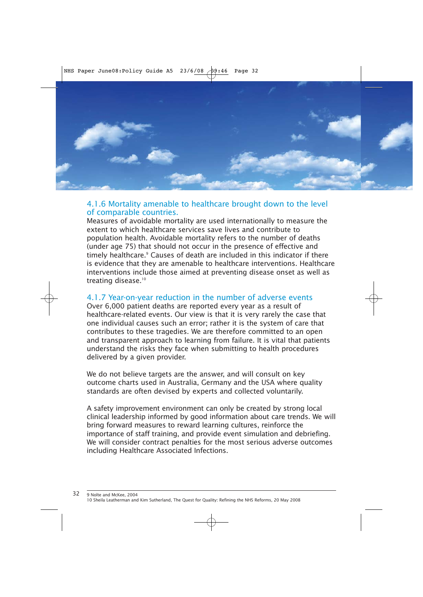![](_page_31_Picture_1.jpeg)

# 4.1.6 Mortality amenable to healthcare brought down to the level of comparable countries.

Measures of avoidable mortality are used internationally to measure the extent to which healthcare services save lives and contribute to population health. Avoidable mortality refers to the number of deaths (under age 75) that should not occur in the presence of effective and timely healthcare.<sup>9</sup> Causes of death are included in this indicator if there is evidence that they are amenable to healthcare interventions. Healthcare interventions include those aimed at preventing disease onset as well as treating disease.<sup>10</sup>

#### 4.1.7 Year-on-year reduction in the number of adverse events

Over 6,000 patient deaths are reported every year as a result of healthcare-related events. Our view is that it is very rarely the case that one individual causes such an error; rather it is the system of care that contributes to these tragedies. We are therefore committed to an open and transparent approach to learning from failure. It is vital that patients understand the risks they face when submitting to health procedures delivered by a given provider.

We do not believe targets are the answer, and will consult on key outcome charts used in Australia, Germany and the USA where quality standards are often devised by experts and collected voluntarily.

A safety improvement environment can only be created by strong local clinical leadership informed by good information about care trends. We will bring forward measures to reward learning cultures, reinforce the importance of staff training, and provide event simulation and debriefing. We will consider contract penalties for the most serious adverse outcomes including Healthcare Associated Infections.

32 9 Nolte and McKee, 2004

10 Sheila Leatherman and Kim Sutherland, The Quest for Quality: Refining the NHS Reforms, 20 May 2008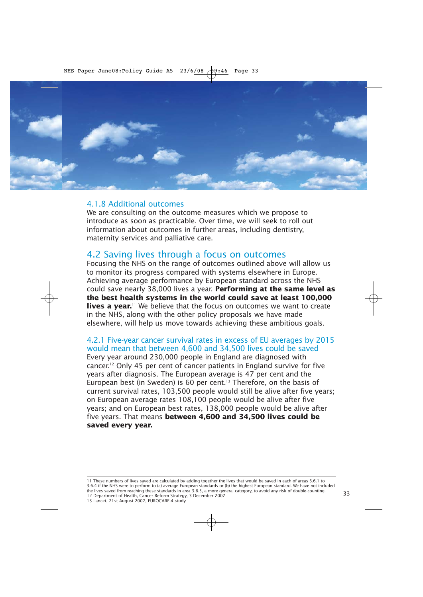![](_page_32_Picture_1.jpeg)

#### 4.1.8 Additional outcomes

We are consulting on the outcome measures which we propose to introduce as soon as practicable. Over time, we will seek to roll out information about outcomes in further areas, including dentistry, maternity services and palliative care.

# 4.2 Saving lives through a focus on outcomes

Focusing the NHS on the range of outcomes outlined above will allow us to monitor its progress compared with systems elsewhere in Europe. Achieving average performance by European standard across the NHS could save nearly 38,000 lives a year. **Performing at the same level as the best health systems in the world could save at least 100,000 lives a year.**<sup>11</sup> We believe that the focus on outcomes we want to create in the NHS, along with the other policy proposals we have made elsewhere, will help us move towards achieving these ambitious goals.

4.2.1 Five-year cancer survival rates in excess of EU averages by 2015 would mean that between 4,600 and 34,500 lives could be saved Every year around 230,000 people in England are diagnosed with cancer.12 Only 45 per cent of cancer patients in England survive for five years after diagnosis. The European average is 47 per cent and the European best (in Sweden) is 60 per cent.<sup>13</sup> Therefore, on the basis of current survival rates, 103,500 people would still be alive after five years; on European average rates 108,100 people would be alive after five years; and on European best rates, 138,000 people would be alive after five years. That means **between 4,600 and 34,500 lives could be saved every year.**

11 These numbers of lives saved are calculated by adding together the lives that would be saved in each of areas 3.6.1 to 3.6.4 if the NHS were to perform to (a) average European standards or (b) the highest European standard. We have not included the lives saved from reaching these standards in area 3.6.5, a more general category, to avoid any risk of double-counting. 12 Department of Health, Cancer Reform Strategy, 3 December 2007 13 Lancet, 21st August 2007, EUROCARE-4 study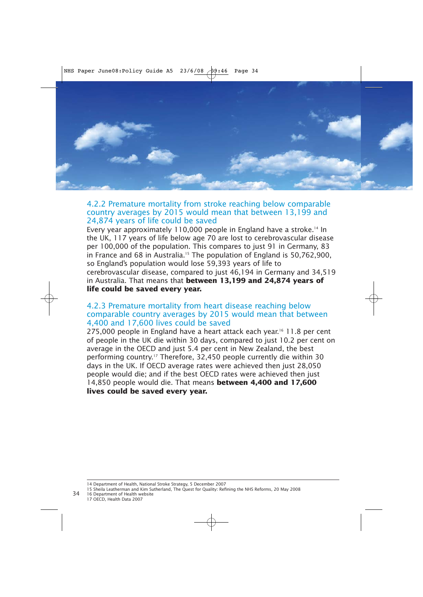![](_page_33_Picture_1.jpeg)

#### 4.2.2 Premature mortality from stroke reaching below comparable country averages by 2015 would mean that between 13,199 and 24,874 years of life could be saved

Every year approximately 110,000 people in England have a stroke.<sup>14</sup> In the UK, 117 years of life below age 70 are lost to cerebrovascular disease per 100,000 of the population. This compares to just 91 in Germany, 83 in France and 68 in Australia.<sup>15</sup> The population of England is 50,762,900, so England's population would lose 59,393 years of life to cerebrovascular disease, compared to just 46,194 in Germany and 34,519 in Australia. That means that **between 13,199 and 24,874 years of life could be saved every year.**

# 4.2.3 Premature mortality from heart disease reaching below comparable country averages by 2015 would mean that between 4,400 and 17,600 lives could be saved

275,000 people in England have a heart attack each year.<sup>16</sup> 11.8 per cent of people in the UK die within 30 days, compared to just 10.2 per cent on average in the OECD and just 5.4 per cent in New Zealand, the best performing country.17 Therefore, 32,450 people currently die within 30 days in the UK. If OECD average rates were achieved then just 28,050 people would die; and if the best OECD rates were achieved then just 14,850 people would die. That means **between 4,400 and 17,600 lives could be saved every year.**

- 34 14 Department of Health, National Stroke Strategy, 5 December 2007 15 Sheila Leatherman and Kim Sutherland, The Quest for Quality: Refining the NHS Reforms, 20 May 2008
	- 16 Department of Health website 17 OECD, Health Data 2007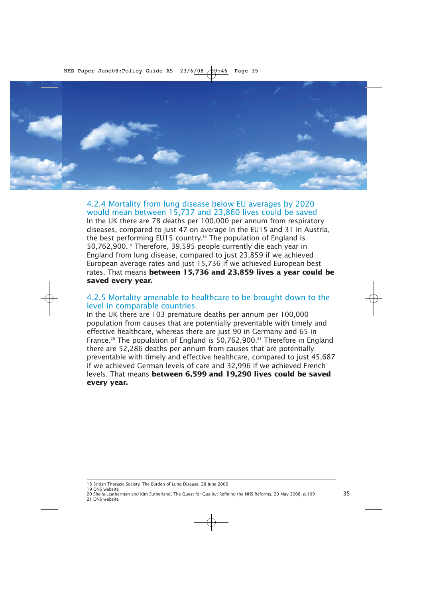![](_page_34_Picture_1.jpeg)

# 4.2.4 Mortality from lung disease below EU averages by 2020 would mean between 15,737 and 23,860 lives could be saved In the UK there are 78 deaths per 100,000 per annum from respiratory diseases, compared to just 47 on average in the EU15 and 31 in Austria, the best performing EU15 country.<sup>18</sup> The population of England is 50,762,900.19 Therefore, 39,595 people currently die each year in England from lung disease, compared to just 23,859 if we achieved European average rates and just 15,736 if we achieved European best rates. That means **between 15,736 and 23,859 lives a year could be saved every year.**

# 4.2.5 Mortality amenable to healthcare to be brought down to the level in comparable countries.

In the UK there are 103 premature deaths per annum per 100,000 population from causes that are potentially preventable with timely and effective healthcare, whereas there are just 90 in Germany and 65 in France.<sup>20</sup> The population of England is 50,762,900.<sup>21</sup> Therefore in England there are 52,286 deaths per annum from causes that are potentially preventable with timely and effective healthcare, compared to just 45,687 if we achieved German levels of care and 32,996 if we achieved French levels. That means **between 6,599 and 19,290 lives could be saved every year.** 

19 ONS website 20 Sheila Leatherman and Kim Sutherland, The Quest for Quality: Refining the NHS Reforms, 20 May 2008, p.109

21 ONS website

<sup>18</sup> British Thoracic Society, The Burden of Lung Disease, 28 June 2006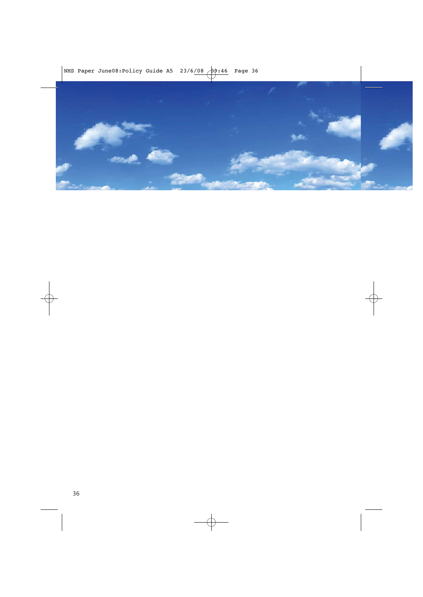![](_page_35_Picture_1.jpeg)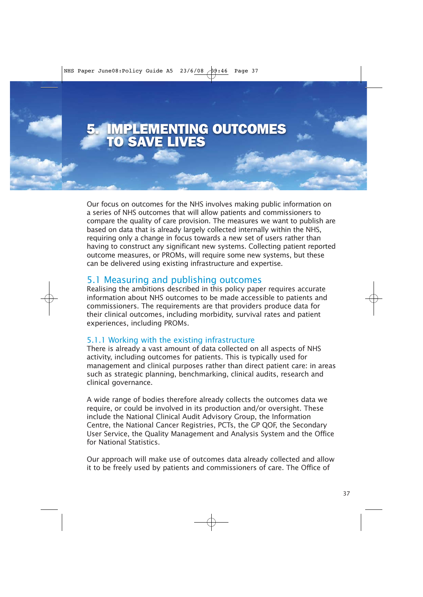# **EMENTING OUTCOMES TE LIVES**

Our focus on outcomes for the NHS involves making public information on a series of NHS outcomes that will allow patients and commissioners to compare the quality of care provision. The measures we want to publish are based on data that is already largely collected internally within the NHS, requiring only a change in focus towards a new set of users rather than having to construct any significant new systems. Collecting patient reported outcome measures, or PROMs, will require some new systems, but these can be delivered using existing infrastructure and expertise.

# 5.1 Measuring and publishing outcomes

Realising the ambitions described in this policy paper requires accurate information about NHS outcomes to be made accessible to patients and commissioners. The requirements are that providers produce data for their clinical outcomes, including morbidity, survival rates and patient experiences, including PROMs.

#### 5.1.1 Working with the existing infrastructure

There is already a vast amount of data collected on all aspects of NHS activity, including outcomes for patients. This is typically used for management and clinical purposes rather than direct patient care: in areas such as strategic planning, benchmarking, clinical audits, research and clinical governance.

A wide range of bodies therefore already collects the outcomes data we require, or could be involved in its production and/or oversight. These include the National Clinical Audit Advisory Group, the Information Centre, the National Cancer Registries, PCTs, the GP QOF, the Secondary User Service, the Quality Management and Analysis System and the Office for National Statistics.

Our approach will make use of outcomes data already collected and allow it to be freely used by patients and commissioners of care. The Office of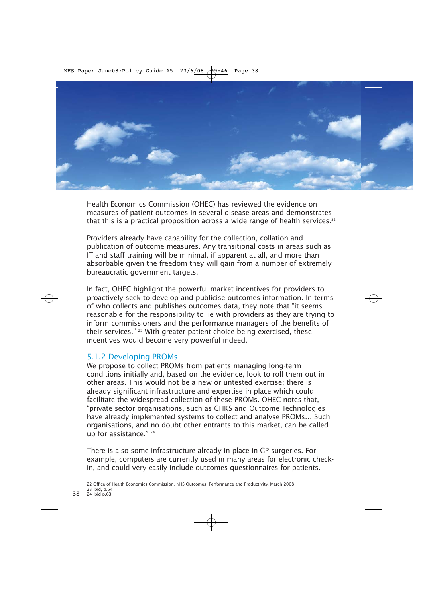![](_page_37_Picture_1.jpeg)

Health Economics Commission (OHEC) has reviewed the evidence on measures of patient outcomes in several disease areas and demonstrates that this is a practical proposition across a wide range of health services.<sup>22</sup>

Providers already have capability for the collection, collation and publication of outcome measures. Any transitional costs in areas such as IT and staff training will be minimal, if apparent at all, and more than absorbable given the freedom they will gain from a number of extremely bureaucratic government targets.

In fact, OHEC highlight the powerful market incentives for providers to proactively seek to develop and publicise outcomes information. In terms of who collects and publishes outcomes data, they note that "it seems reasonable for the responsibility to lie with providers as they are trying to inform commissioners and the performance managers of the benefits of their services." 23 With greater patient choice being exercised, these incentives would become very powerful indeed.

#### 5.1.2 Developing PROMs

We propose to collect PROMs from patients managing long-term conditions initially and, based on the evidence, look to roll them out in other areas. This would not be a new or untested exercise; there is already significant infrastructure and expertise in place which could facilitate the widespread collection of these PROMs. OHEC notes that, "private sector organisations, such as CHKS and Outcome Technologies have already implemented systems to collect and analyse PROMs… Such organisations, and no doubt other entrants to this market, can be called up for assistance." 24

There is also some infrastructure already in place in GP surgeries. For example, computers are currently used in many areas for electronic checkin, and could very easily include outcomes questionnaires for patients.

<sup>38</sup> 22 Office of Health Economics Commission, NHS Outcomes, Performance and Productivity, March 2008 23 Ibid, p.64 24 Ibid p.63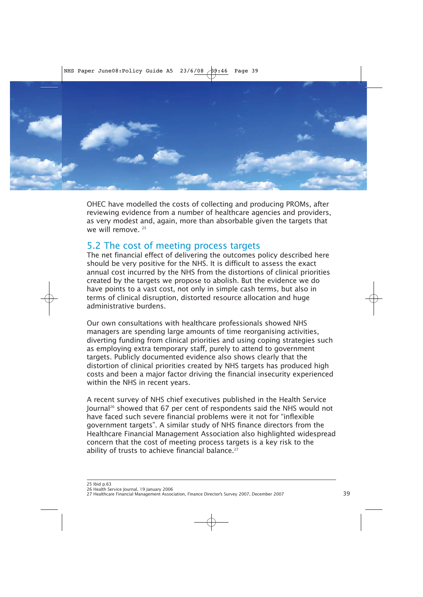![](_page_38_Picture_1.jpeg)

OHEC have modelled the costs of collecting and producing PROMs, after reviewing evidence from a number of healthcare agencies and providers, as very modest and, again, more than absorbable given the targets that we will remove.<sup>25</sup>

# 5.2 The cost of meeting process targets

The net financial effect of delivering the outcomes policy described here should be very positive for the NHS. It is difficult to assess the exact annual cost incurred by the NHS from the distortions of clinical priorities created by the targets we propose to abolish. But the evidence we do have points to a vast cost, not only in simple cash terms, but also in terms of clinical disruption, distorted resource allocation and huge administrative burdens.

Our own consultations with healthcare professionals showed NHS managers are spending large amounts of time reorganising activities, diverting funding from clinical priorities and using coping strategies such as employing extra temporary staff, purely to attend to government targets. Publicly documented evidence also shows clearly that the distortion of clinical priorities created by NHS targets has produced high costs and been a major factor driving the financial insecurity experienced within the NHS in recent years.

A recent survey of NHS chief executives published in the Health Service Journal<sup>26</sup> showed that 67 per cent of respondents said the NHS would not have faced such severe financial problems were it not for "inflexible government targets". A similar study of NHS finance directors from the Healthcare Financial Management Association also highlighted widespread concern that the cost of meeting process targets is a key risk to the ability of trusts to achieve financial balance.<sup>27</sup>

<sup>25</sup> Ibid p.63

<sup>26</sup> Health Service Journal, 19 January 2006

<sup>27</sup> Healthcare Financial Management Association, Finance Director's Survey 2007, December 2007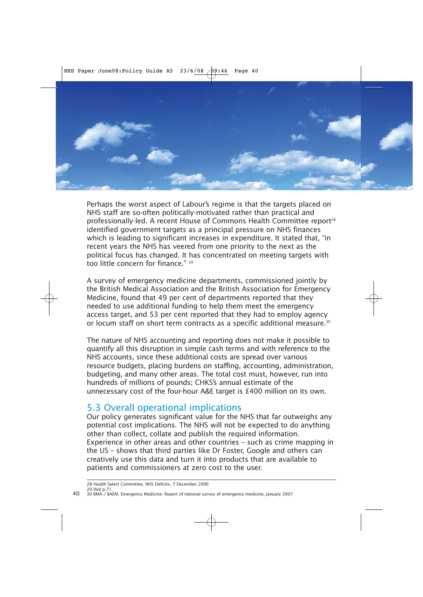![](_page_39_Picture_1.jpeg)

Perhaps the worst aspect of Labour's regime is that the targets placed on NHS staff are so-often politically-motivated rather than practical and professionally-led. A recent House of Commons Health Committee report<sup>28</sup> identified government targets as a principal pressure on NHS finances which is leading to significant increases in expenditure. It stated that, "in recent years the NHS has veered from one priority to the next as the political focus has changed. It has concentrated on meeting targets with too little concern for finance." <sup>29</sup>

A survey of emergency medicine departments, commissioned jointly by the British Medical Association and the British Association for Emergency Medicine, found that 49 per cent of departments reported that they needed to use additional funding to help them meet the emergency access target, and 53 per cent reported that they had to employ agency or locum staff on short term contracts as a specific additional measure.30

The nature of NHS accounting and reporting does not make it possible to quantify all this disruption in simple cash terms and with reference to the NHS accounts, since these additional costs are spread over various resource budgets, placing burdens on staffing, accounting, administration, budgeting, and many other areas. The total cost must, however, run into hundreds of millions of pounds; CHKS's annual estimate of the unnecessary cost of the four-hour A&E target is £400 million on its own.

# 5.3 Overall operational implications

Our policy generates significant value for the NHS that far outweighs any potential cost implications. The NHS will not be expected to do anything other than collect, collate and publish the required information. Experience in other areas and other countries – such as crime mapping in the US – shows that third parties like Dr Foster, Google and others can creatively use this data and turn it into products that are available to patients and commissioners at zero cost to the user.

<sup>28</sup> Health Select Committee, NHS Deficits, 7 December 2006

<sup>40</sup> 29 Ibid p.71. 30 BMA / BAEM, Emergency Medicine: Report of national survey of emergency medicine, January 2007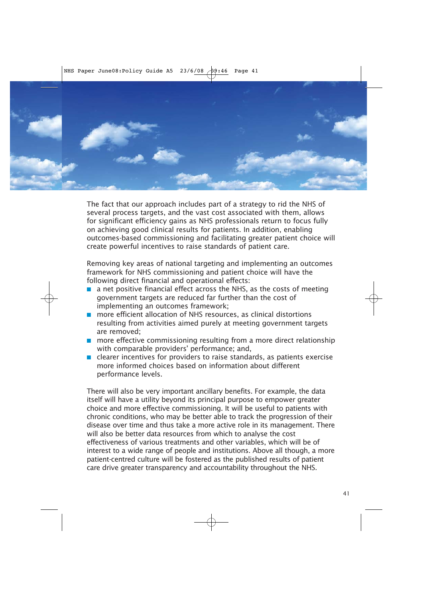![](_page_40_Picture_1.jpeg)

The fact that our approach includes part of a strategy to rid the NHS of several process targets, and the vast cost associated with them, allows for significant efficiency gains as NHS professionals return to focus fully on achieving good clinical results for patients. In addition, enabling outcomes-based commissioning and facilitating greater patient choice will create powerful incentives to raise standards of patient care.

Removing key areas of national targeting and implementing an outcomes framework for NHS commissioning and patient choice will have the following direct financial and operational effects:

- a net positive financial effect across the NHS, as the costs of meeting government targets are reduced far further than the cost of implementing an outcomes framework;
- more efficient allocation of NHS resources, as clinical distortions resulting from activities aimed purely at meeting government targets are removed;
- more effective commissioning resulting from a more direct relationship with comparable providers' performance; and,
- clearer incentives for providers to raise standards, as patients exercise more informed choices based on information about different performance levels.

There will also be very important ancillary benefits. For example, the data itself will have a utility beyond its principal purpose to empower greater choice and more effective commissioning. It will be useful to patients with chronic conditions, who may be better able to track the progression of their disease over time and thus take a more active role in its management. There will also be better data resources from which to analyse the cost effectiveness of various treatments and other variables, which will be of interest to a wide range of people and institutions. Above all though, a more patient-centred culture will be fostered as the published results of patient care drive greater transparency and accountability throughout the NHS.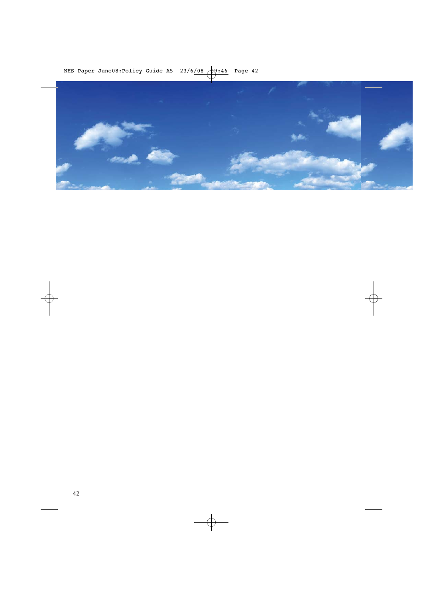![](_page_41_Picture_1.jpeg)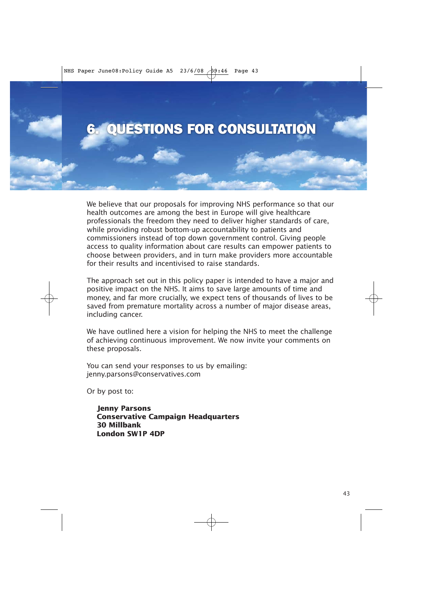![](_page_42_Picture_1.jpeg)

We believe that our proposals for improving NHS performance so that our health outcomes are among the best in Europe will give healthcare professionals the freedom they need to deliver higher standards of care, while providing robust bottom-up accountability to patients and commissioners instead of top down government control. Giving people access to quality information about care results can empower patients to choose between providers, and in turn make providers more accountable for their results and incentivised to raise standards.

The approach set out in this policy paper is intended to have a major and positive impact on the NHS. It aims to save large amounts of time and money, and far more crucially, we expect tens of thousands of lives to be saved from premature mortality across a number of major disease areas, including cancer.

We have outlined here a vision for helping the NHS to meet the challenge of achieving continuous improvement. We now invite your comments on these proposals.

You can send your responses to us by emailing: jenny.parsons@conservatives.com

Or by post to:

**Jenny Parsons Conservative Campaign Headquarters 30 Millbank London SW1P 4DP**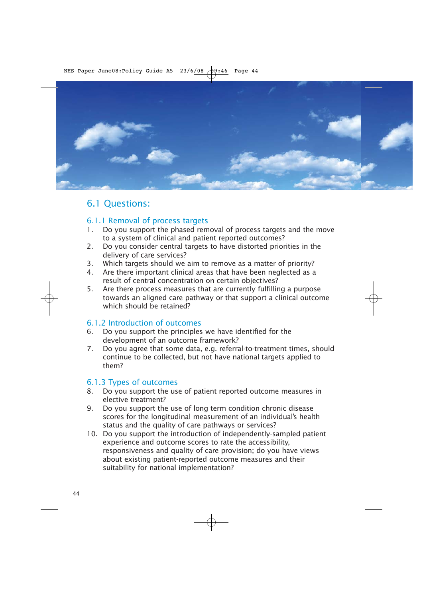![](_page_43_Picture_1.jpeg)

# 6.1 Questions:

# 6.1.1 Removal of process targets

- 1. Do you support the phased removal of process targets and the move to a system of clinical and patient reported outcomes?
- 2. Do you consider central targets to have distorted priorities in the delivery of care services?
- 3. Which targets should we aim to remove as a matter of priority?
- 4. Are there important clinical areas that have been neglected as a result of central concentration on certain objectives?
- 5. Are there process measures that are currently fulfilling a purpose towards an aligned care pathway or that support a clinical outcome which should be retained?

# 6.1.2 Introduction of outcomes

- 6. Do you support the principles we have identified for the development of an outcome framework?
- 7. Do you agree that some data, e.g. referral-to-treatment times, should continue to be collected, but not have national targets applied to them?

# 6.1.3 Types of outcomes

- 8. Do you support the use of patient reported outcome measures in elective treatment?
- 9. Do you support the use of long term condition chronic disease scores for the longitudinal measurement of an individual's health status and the quality of care pathways or services?
- 10. Do you support the introduction of independently-sampled patient experience and outcome scores to rate the accessibility, responsiveness and quality of care provision; do you have views about existing patient-reported outcome measures and their suitability for national implementation?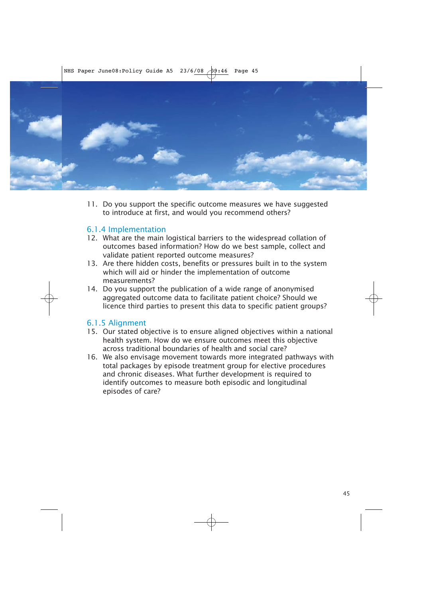![](_page_44_Picture_1.jpeg)

11. Do you support the specific outcome measures we have suggested to introduce at first, and would you recommend others?

# 6.1.4 Implementation

- 12. What are the main logistical barriers to the widespread collation of outcomes based information? How do we best sample, collect and validate patient reported outcome measures?
- 13. Are there hidden costs, benefits or pressures built in to the system which will aid or hinder the implementation of outcome measurements?
- 14. Do you support the publication of a wide range of anonymised aggregated outcome data to facilitate patient choice? Should we licence third parties to present this data to specific patient groups?

## 6.1.5 Alignment

- 15. Our stated objective is to ensure aligned objectives within a national health system. How do we ensure outcomes meet this objective across traditional boundaries of health and social care?
- 16. We also envisage movement towards more integrated pathways with total packages by episode treatment group for elective procedures and chronic diseases. What further development is required to identify outcomes to measure both episodic and longitudinal episodes of care?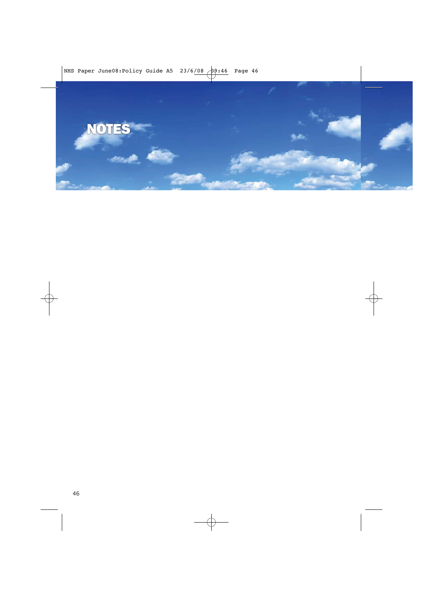![](_page_45_Picture_1.jpeg)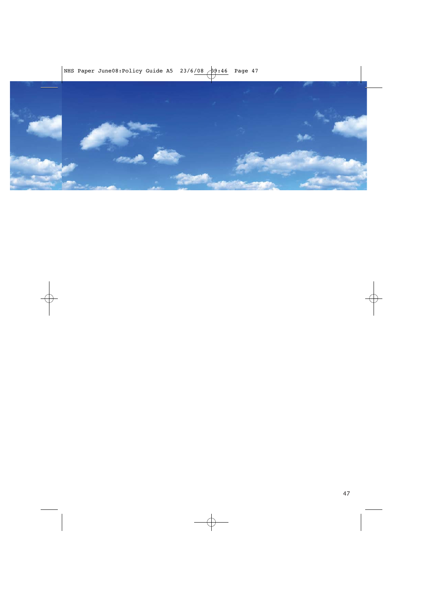![](_page_46_Picture_1.jpeg)